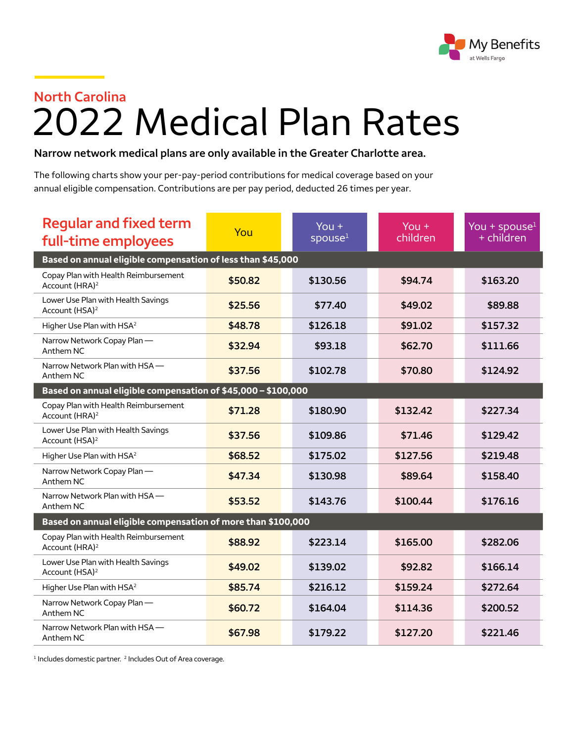

## 2022 Medical Plan Rates **North Carolina**

## **Narrow network medical plans are only available in the Greater Charlotte area.**

The following charts show your per-pay-period contributions for medical coverage based on your annual eligible compensation. Contributions are per pay period, deducted 26 times per year.

| <b>Regular and fixed term</b><br>full-time employees               | You     | You $+$<br>spouse $1$ | $You +$<br>children | You + spouse $1$<br>$+$ children |  |  |  |
|--------------------------------------------------------------------|---------|-----------------------|---------------------|----------------------------------|--|--|--|
| Based on annual eligible compensation of less than \$45,000        |         |                       |                     |                                  |  |  |  |
| Copay Plan with Health Reimbursement<br>Account (HRA) <sup>2</sup> | \$50.82 | \$130.56              | \$94.74             | \$163.20                         |  |  |  |
| Lower Use Plan with Health Savings<br>Account (HSA) <sup>2</sup>   | \$25.56 | \$77.40               | \$49.02             | \$89.88                          |  |  |  |
| Higher Use Plan with HSA <sup>2</sup>                              | \$48.78 | \$126.18              | \$91.02             | \$157.32                         |  |  |  |
| Narrow Network Copay Plan-<br>Anthem NC                            | \$32.94 | \$93.18               | \$62.70             | \$111.66                         |  |  |  |
| Narrow Network Plan with HSA -<br>Anthem NC                        | \$37.56 | \$102.78              | \$70.80             | \$124.92                         |  |  |  |
| Based on annual eligible compensation of \$45,000 - \$100,000      |         |                       |                     |                                  |  |  |  |
| Copay Plan with Health Reimbursement<br>Account (HRA) <sup>2</sup> | \$71.28 | \$180.90              | \$132.42            | \$227.34                         |  |  |  |
| Lower Use Plan with Health Savings<br>Account (HSA) <sup>2</sup>   | \$37.56 | \$109.86              | \$71.46             | \$129.42                         |  |  |  |
| Higher Use Plan with HSA <sup>2</sup>                              | \$68.52 | \$175.02              | \$127.56            | \$219.48                         |  |  |  |
| Narrow Network Copay Plan-<br>Anthem NC                            | \$47.34 | \$130.98              | \$89.64             | \$158.40                         |  |  |  |
| Narrow Network Plan with HSA-<br>Anthem NC                         | \$53.52 | \$143.76              | \$100.44            | \$176.16                         |  |  |  |
| Based on annual eligible compensation of more than \$100,000       |         |                       |                     |                                  |  |  |  |
| Copay Plan with Health Reimbursement<br>Account (HRA) <sup>2</sup> | \$88.92 | \$223.14              | \$165.00            | \$282.06                         |  |  |  |
| Lower Use Plan with Health Savings<br>Account (HSA) <sup>2</sup>   | \$49.02 | \$139.02              | \$92.82             | \$166.14                         |  |  |  |
| Higher Use Plan with HSA <sup>2</sup>                              | \$85.74 | \$216.12              | \$159.24            | \$272.64                         |  |  |  |
| Narrow Network Copay Plan-<br>Anthem NC                            | \$60.72 | \$164.04              | \$114.36            | \$200.52                         |  |  |  |
| Narrow Network Plan with HSA -<br>Anthem NC                        | \$67.98 | \$179.22              | \$127.20            | \$221.46                         |  |  |  |

 $1$  Includes domestic partner.  $2$  Includes Out of Area coverage.